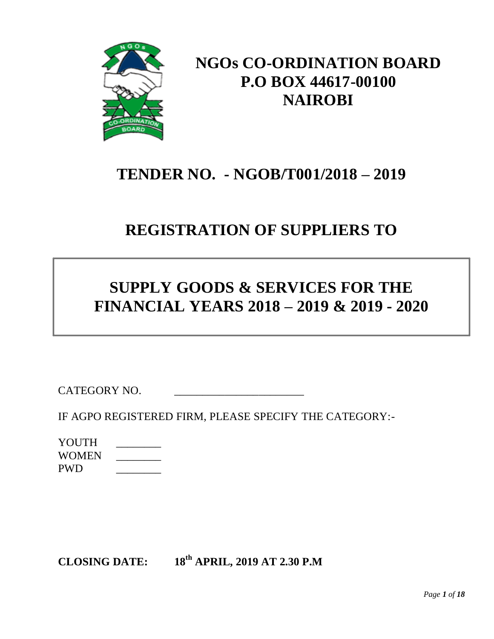

## **NGOs CO-ORDINATION BOARD P.O BOX 44617-00100 NAIROBI**

## **TENDER NO. - NGOB/T001/2018 – 2019**

# **REGISTRATION OF SUPPLIERS TO**

# **SUPPLY GOODS & SERVICES FOR THE FINANCIAL YEARS 2018 – 2019 & 2019 - 2020**

CATEGORY NO.

IF AGPO REGISTERED FIRM, PLEASE SPECIFY THE CATEGORY:-

| YOUTH        |  |
|--------------|--|
| <b>WOMEN</b> |  |
| <b>PWD</b>   |  |

**CLOSING DATE: 18th APRIL, 2019 AT 2.30 P.M**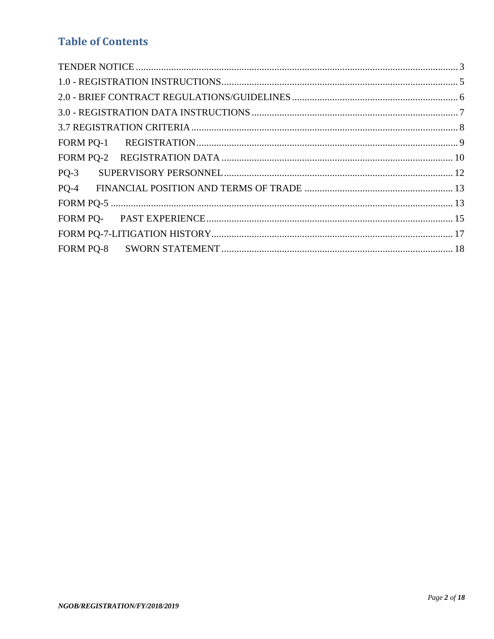## **Table of Contents**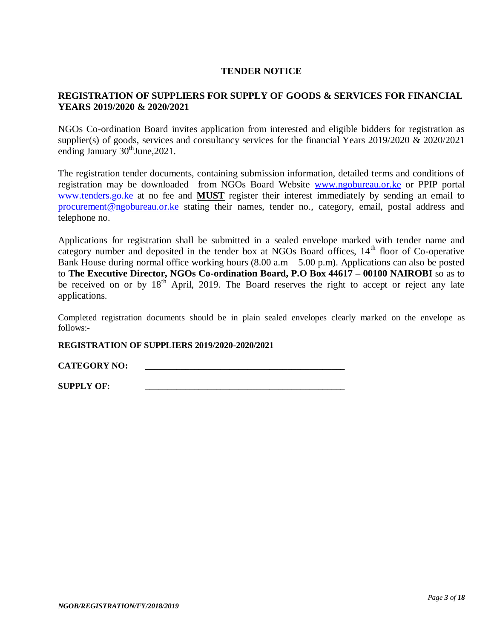## **TENDER NOTICE**

## <span id="page-2-0"></span>**REGISTRATION OF SUPPLIERS FOR SUPPLY OF GOODS & SERVICES FOR FINANCIAL YEARS 2019/2020 & 2020/2021**

NGOs Co-ordination Board invites application from interested and eligible bidders for registration as supplier(s) of goods, services and consultancy services for the financial Years 2019/2020 & 2020/2021 ending January 30<sup>th</sup>June, 2021.

The registration tender documents, containing submission information, detailed terms and conditions of registration may be downloaded from NGOs Board Website [www.ngobureau.or.ke](http://www.ngobureau.or.ke/) or PPIP portal [www.tenders.go.ke](http://www.tenders.go.ke/) at no fee and **MUST** register their interest immediately by sending an email to [procurement@ngobureau.or.ke](mailto:procurement@ngobureau.or.ke) stating their names, tender no., category, email, postal address and telephone no.

Applications for registration shall be submitted in a sealed envelope marked with tender name and category number and deposited in the tender box at NGOs Board offices,  $14<sup>th</sup>$  floor of Co-operative Bank House during normal office working hours  $(8.00 \text{ a.m} - 5.00 \text{ p.m})$ . Applications can also be posted to **The Executive Director, NGOs Co-ordination Board, P.O Box 44617 – 00100 NAIROBI** so as to be received on or by  $18<sup>th</sup>$  April, 2019. The Board reserves the right to accept or reject any late applications.

Completed registration documents should be in plain sealed envelopes clearly marked on the envelope as follows:-

**REGISTRATION OF SUPPLIERS 2019/2020-2020/2021**

**CATEGORY NO: \_\_\_\_\_\_\_\_\_\_\_\_\_\_\_\_\_\_\_\_\_\_\_\_\_\_\_\_\_\_\_\_\_\_\_\_\_\_\_\_\_\_\_\_\_**

 $SUPPLY$   $OF:$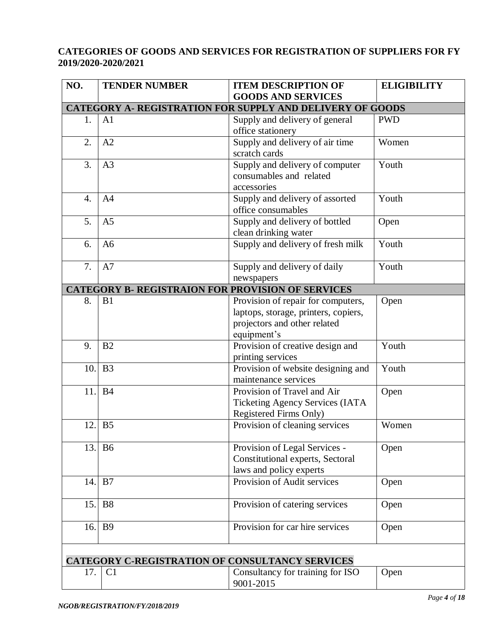## **CATEGORIES OF GOODS AND SERVICES FOR REGISTRATION OF SUPPLIERS FOR FY 2019/2020-2020/2021**

| NO.                                                    | <b>TENDER NUMBER</b>                                     | <b>ITEM DESCRIPTION OF</b><br><b>ELIGIBILITY</b>                                                                          |            |  |  |  |
|--------------------------------------------------------|----------------------------------------------------------|---------------------------------------------------------------------------------------------------------------------------|------------|--|--|--|
|                                                        |                                                          | <b>GOODS AND SERVICES</b>                                                                                                 |            |  |  |  |
|                                                        | CATEGORY A-REGISTRATION FOR SUPPLY AND DELIVERY OF GOODS |                                                                                                                           |            |  |  |  |
| 1.                                                     | A1                                                       | Supply and delivery of general<br>office stationery                                                                       | <b>PWD</b> |  |  |  |
| 2.                                                     | A <sub>2</sub>                                           | Supply and delivery of air time<br>scratch cards                                                                          | Women      |  |  |  |
| 3.                                                     | A <sub>3</sub>                                           | Supply and delivery of computer<br>consumables and related<br>accessories                                                 | Youth      |  |  |  |
| 4.                                                     | A <sub>4</sub>                                           | Supply and delivery of assorted<br>office consumables                                                                     | Youth      |  |  |  |
| 5.                                                     | A <sub>5</sub>                                           | Supply and delivery of bottled<br>clean drinking water                                                                    | Open       |  |  |  |
| 6.                                                     | A <sub>6</sub>                                           | Supply and delivery of fresh milk                                                                                         | Youth      |  |  |  |
| 7.                                                     | A7                                                       | Supply and delivery of daily<br>newspapers                                                                                | Youth      |  |  |  |
|                                                        | <b>CATEGORY B- REGISTRAION FOR PROVISION OF SERVICES</b> |                                                                                                                           |            |  |  |  |
| 8.                                                     | B1                                                       | Provision of repair for computers,<br>laptops, storage, printers, copiers,<br>projectors and other related<br>equipment's | Open       |  |  |  |
| 9.                                                     | B <sub>2</sub>                                           | Provision of creative design and<br>printing services                                                                     | Youth      |  |  |  |
| 10.                                                    | B <sub>3</sub>                                           | Provision of website designing and<br>maintenance services                                                                | Youth      |  |  |  |
| 11.                                                    | <b>B</b> 4                                               | Provision of Travel and Air<br><b>Ticketing Agency Services (IATA</b><br>Registered Firms Only)                           | Open       |  |  |  |
| 12.                                                    | B <sub>5</sub>                                           | Provision of cleaning services                                                                                            | Women      |  |  |  |
| 13.                                                    | B <sub>6</sub>                                           | Provision of Legal Services -<br>Constitutional experts, Sectoral<br>laws and policy experts                              | Open       |  |  |  |
| 14.                                                    | B7                                                       | Provision of Audit services                                                                                               | Open       |  |  |  |
|                                                        | $15.$ B <sub>8</sub>                                     | Provision of catering services                                                                                            | Open       |  |  |  |
| 16.                                                    | <b>B</b> 9                                               | Provision for car hire services                                                                                           | Open       |  |  |  |
| <b>CATEGORY C-REGISTRATION OF CONSULTANCY SERVICES</b> |                                                          |                                                                                                                           |            |  |  |  |
| 17.                                                    | C <sub>1</sub>                                           | Consultancy for training for ISO<br>9001-2015                                                                             | Open       |  |  |  |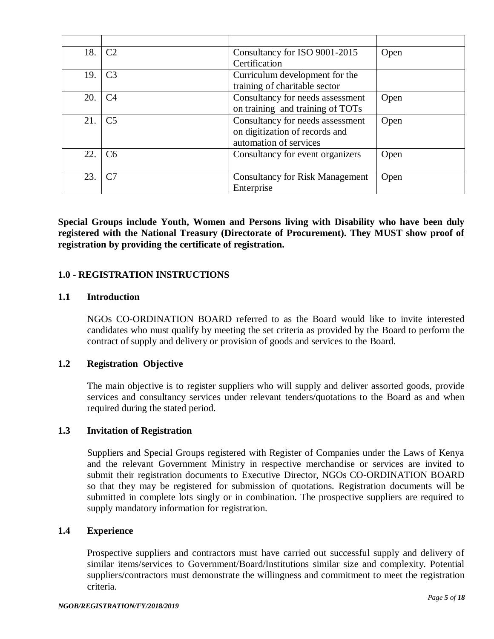| 18. | C2             | Consultancy for ISO 9001-2015          | Open |
|-----|----------------|----------------------------------------|------|
|     |                | Certification                          |      |
| 19. | C <sub>3</sub> | Curriculum development for the         |      |
|     |                | training of charitable sector          |      |
| 20. | C <sub>4</sub> | Consultancy for needs assessment       | Open |
|     |                | on training and training of TOTs       |      |
| 21. | C <sub>5</sub> | Consultancy for needs assessment       | Open |
|     |                | on digitization of records and         |      |
|     |                | automation of services                 |      |
| 22. | C6             | Consultancy for event organizers       | Open |
|     |                |                                        |      |
| 23. |                | <b>Consultancy for Risk Management</b> | Open |
|     |                | Enterprise                             |      |

**Special Groups include Youth, Women and Persons living with Disability who have been duly registered with the National Treasury (Directorate of Procurement). They MUST show proof of registration by providing the certificate of registration.**

#### <span id="page-4-0"></span>**1.0 - REGISTRATION INSTRUCTIONS**

#### **1.1 Introduction**

NGOs CO-ORDINATION BOARD referred to as the Board would like to invite interested candidates who must qualify by meeting the set criteria as provided by the Board to perform the contract of supply and delivery or provision of goods and services to the Board.

#### **1.2 Registration Objective**

The main objective is to register suppliers who will supply and deliver assorted goods, provide services and consultancy services under relevant tenders/quotations to the Board as and when required during the stated period.

#### **1.3 Invitation of Registration**

Suppliers and Special Groups registered with Register of Companies under the Laws of Kenya and the relevant Government Ministry in respective merchandise or services are invited to submit their registration documents to Executive Director, NGOs CO-ORDINATION BOARD so that they may be registered for submission of quotations. Registration documents will be submitted in complete lots singly or in combination. The prospective suppliers are required to supply mandatory information for registration.

#### **1.4 Experience**

Prospective suppliers and contractors must have carried out successful supply and delivery of similar items/services to Government/Board/Institutions similar size and complexity. Potential suppliers/contractors must demonstrate the willingness and commitment to meet the registration criteria.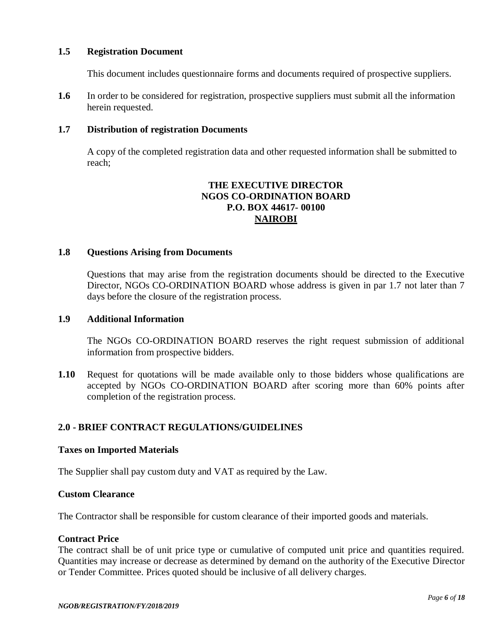#### **1.5 Registration Document**

This document includes questionnaire forms and documents required of prospective suppliers.

**1.6** In order to be considered for registration, prospective suppliers must submit all the information herein requested.

#### **1.7 Distribution of registration Documents**

A copy of the completed registration data and other requested information shall be submitted to reach;

## **THE EXECUTIVE DIRECTOR NGOS CO-ORDINATION BOARD P.O. BOX 44617- 00100 NAIROBI**

#### **1.8 Questions Arising from Documents**

Questions that may arise from the registration documents should be directed to the Executive Director, NGOs CO-ORDINATION BOARD whose address is given in par 1.7 not later than 7 days before the closure of the registration process.

#### **1.9 Additional Information**

The NGOs CO-ORDINATION BOARD reserves the right request submission of additional information from prospective bidders.

**1.10** Request for quotations will be made available only to those bidders whose qualifications are accepted by NGOs CO-ORDINATION BOARD after scoring more than 60% points after completion of the registration process.

#### <span id="page-5-0"></span>**2.0 - BRIEF CONTRACT REGULATIONS/GUIDELINES**

#### **Taxes on Imported Materials**

The Supplier shall pay custom duty and VAT as required by the Law.

#### **Custom Clearance**

The Contractor shall be responsible for custom clearance of their imported goods and materials.

#### **Contract Price**

The contract shall be of unit price type or cumulative of computed unit price and quantities required. Quantities may increase or decrease as determined by demand on the authority of the Executive Director or Tender Committee. Prices quoted should be inclusive of all delivery charges.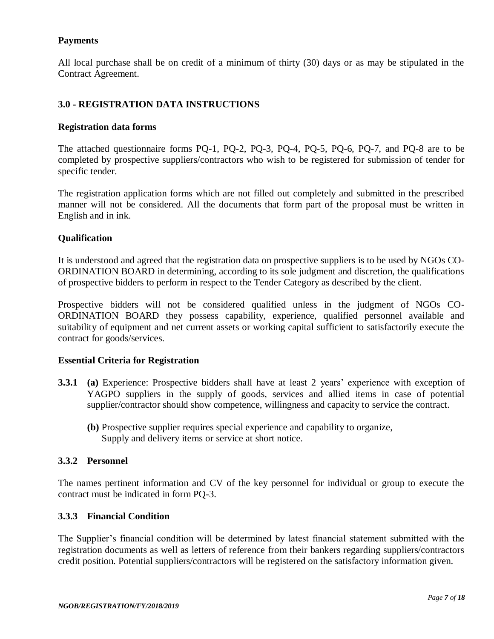#### **Payments**

All local purchase shall be on credit of a minimum of thirty (30) days or as may be stipulated in the Contract Agreement.

## <span id="page-6-0"></span>**3.0 - REGISTRATION DATA INSTRUCTIONS**

#### **Registration data forms**

The attached questionnaire forms PQ-1, PQ-2, PQ-3, PQ-4, PQ-5, PQ-6, PQ-7, and PQ-8 are to be completed by prospective suppliers/contractors who wish to be registered for submission of tender for specific tender.

The registration application forms which are not filled out completely and submitted in the prescribed manner will not be considered. All the documents that form part of the proposal must be written in English and in ink.

#### **Qualification**

It is understood and agreed that the registration data on prospective suppliers is to be used by NGOs CO-ORDINATION BOARD in determining, according to its sole judgment and discretion, the qualifications of prospective bidders to perform in respect to the Tender Category as described by the client.

Prospective bidders will not be considered qualified unless in the judgment of NGOs CO-ORDINATION BOARD they possess capability, experience, qualified personnel available and suitability of equipment and net current assets or working capital sufficient to satisfactorily execute the contract for goods/services.

#### **Essential Criteria for Registration**

- **3.3.1 (a)** Experience: Prospective bidders shall have at least 2 years' experience with exception of YAGPO suppliers in the supply of goods, services and allied items in case of potential supplier/contractor should show competence, willingness and capacity to service the contract.
	- **(b)** Prospective supplier requires special experience and capability to organize, Supply and delivery items or service at short notice.

#### **3.3.2 Personnel**

The names pertinent information and CV of the key personnel for individual or group to execute the contract must be indicated in form PQ-3.

#### **3.3.3 Financial Condition**

The Supplier's financial condition will be determined by latest financial statement submitted with the registration documents as well as letters of reference from their bankers regarding suppliers/contractors credit position. Potential suppliers/contractors will be registered on the satisfactory information given.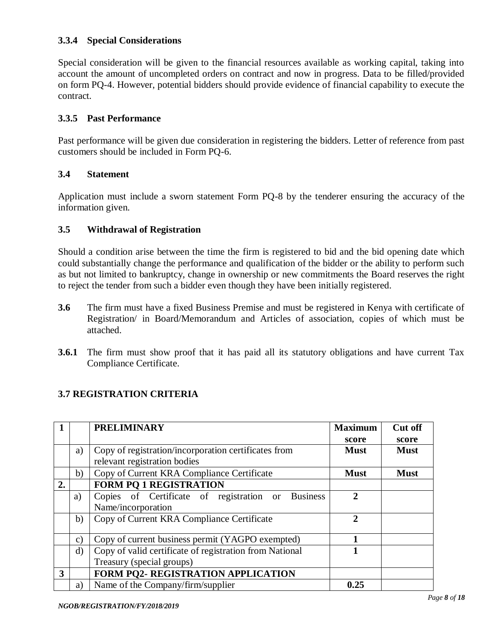## **3.3.4 Special Considerations**

Special consideration will be given to the financial resources available as working capital, taking into account the amount of uncompleted orders on contract and now in progress. Data to be filled/provided on form PQ-4. However, potential bidders should provide evidence of financial capability to execute the contract.

## **3.3.5 Past Performance**

Past performance will be given due consideration in registering the bidders. Letter of reference from past customers should be included in Form PQ-6.

#### **3.4 Statement**

Application must include a sworn statement Form PQ-8 by the tenderer ensuring the accuracy of the information given.

## **3.5 Withdrawal of Registration**

Should a condition arise between the time the firm is registered to bid and the bid opening date which could substantially change the performance and qualification of the bidder or the ability to perform such as but not limited to bankruptcy, change in ownership or new commitments the Board reserves the right to reject the tender from such a bidder even though they have been initially registered.

- **3.6** The firm must have a fixed Business Premise and must be registered in Kenya with certificate of Registration/ in Board/Memorandum and Articles of association, copies of which must be attached.
- **3.6.1** The firm must show proof that it has paid all its statutory obligations and have current Tax Compliance Certificate.

## <span id="page-7-0"></span>**3.7 REGISTRATION CRITERIA**

|    |               | <b>PRELIMINARY</b>                                          | <b>Maximum</b> | Cut off     |
|----|---------------|-------------------------------------------------------------|----------------|-------------|
|    |               |                                                             | score          | score       |
|    | a)            | Copy of registration/incorporation certificates from        | <b>Must</b>    | <b>Must</b> |
|    |               | relevant registration bodies                                |                |             |
|    | b)            | Copy of Current KRA Compliance Certificate                  | <b>Must</b>    | <b>Must</b> |
| 2. |               | <b>FORM PQ 1 REGISTRATION</b>                               |                |             |
|    | a)            | <b>Business</b><br>Copies of Certificate of registration or | $\mathbf{2}$   |             |
|    |               | Name/incorporation                                          |                |             |
|    | b)            | Copy of Current KRA Compliance Certificate                  | $\overline{2}$ |             |
|    | $\mathbf{c})$ | Copy of current business permit (YAGPO exempted)            |                |             |
|    | $\rm d$       | Copy of valid certificate of registration from National     |                |             |
|    |               | Treasury (special groups)                                   |                |             |
| 3  |               | <b>FORM PQ2- REGISTRATION APPLICATION</b>                   |                |             |
|    | a)            | Name of the Company/firm/supplier                           | 0.25           |             |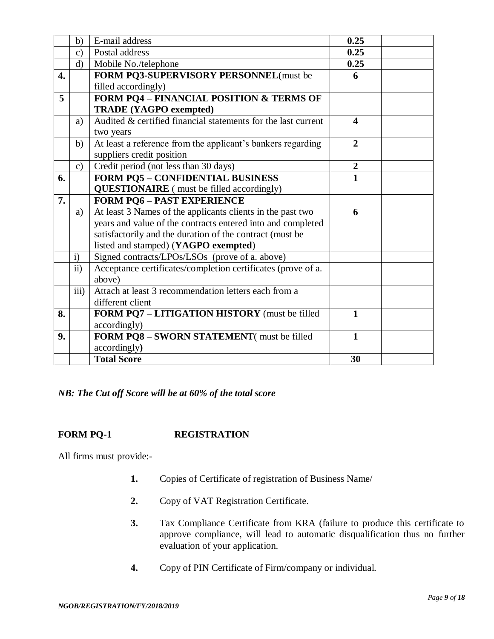|                  | b)               | E-mail address                                                | 0.25                    |  |
|------------------|------------------|---------------------------------------------------------------|-------------------------|--|
|                  | $\mathbf{c})$    | Postal address                                                | 0.25                    |  |
|                  | $\mathbf{d}$     | Mobile No./telephone                                          | 0.25                    |  |
| $\overline{4}$ . |                  | FORM PQ3-SUPERVISORY PERSONNEL(must be                        | 6                       |  |
|                  |                  | filled accordingly)                                           |                         |  |
| 5                |                  | <b>FORM PQ4 - FINANCIAL POSITION &amp; TERMS OF</b>           |                         |  |
|                  |                  | <b>TRADE (YAGPO exempted)</b>                                 |                         |  |
|                  | a)               | Audited & certified financial statements for the last current | $\overline{\mathbf{4}}$ |  |
|                  |                  | two years                                                     |                         |  |
|                  | b)               | At least a reference from the applicant's bankers regarding   | $\overline{2}$          |  |
|                  |                  | suppliers credit position                                     |                         |  |
|                  | $\mathbf{c})$    | Credit period (not less than 30 days)                         | $\overline{2}$          |  |
| 6.               |                  | <b>FORM PQ5 - CONFIDENTIAL BUSINESS</b>                       | $\overline{1}$          |  |
|                  |                  | <b>QUESTIONAIRE</b> ( must be filled accordingly)             |                         |  |
| 7.               |                  | <b>FORM PQ6 - PAST EXPERIENCE</b>                             |                         |  |
|                  | a)               | At least 3 Names of the applicants clients in the past two    | 6                       |  |
|                  |                  | years and value of the contracts entered into and completed   |                         |  |
|                  |                  | satisfactorily and the duration of the contract (must be      |                         |  |
|                  |                  | listed and stamped) (YAGPO exempted)                          |                         |  |
|                  | $\mathbf{i}$     | Signed contracts/LPOs/LSOs (prove of a. above)                |                         |  |
|                  | $\mathbf{ii}$    | Acceptance certificates/completion certificates (prove of a.  |                         |  |
|                  |                  | above)                                                        |                         |  |
|                  | $\overline{iii}$ | Attach at least 3 recommendation letters each from a          |                         |  |
|                  |                  | different client                                              |                         |  |
| 8.               |                  | FORM PQ7 - LITIGATION HISTORY (must be filled                 | $\mathbf{1}$            |  |
|                  |                  | accordingly)                                                  |                         |  |
| 9.               |                  | FORM PQ8 - SWORN STATEMENT(must be filled                     | $\mathbf{1}$            |  |
|                  |                  | accordingly)                                                  |                         |  |
|                  |                  | <b>Total Score</b>                                            | 30                      |  |

## *NB: The Cut off Score will be at 60% of the total score*

## <span id="page-8-0"></span>**FORM PQ-1 REGISTRATION**

All firms must provide:-

- **1.** Copies of Certificate of registration of Business Name/
- **2.** Copy of VAT Registration Certificate.
- **3.** Tax Compliance Certificate from KRA (failure to produce this certificate to approve compliance, will lead to automatic disqualification thus no further evaluation of your application.
- **4.** Copy of PIN Certificate of Firm/company or individual.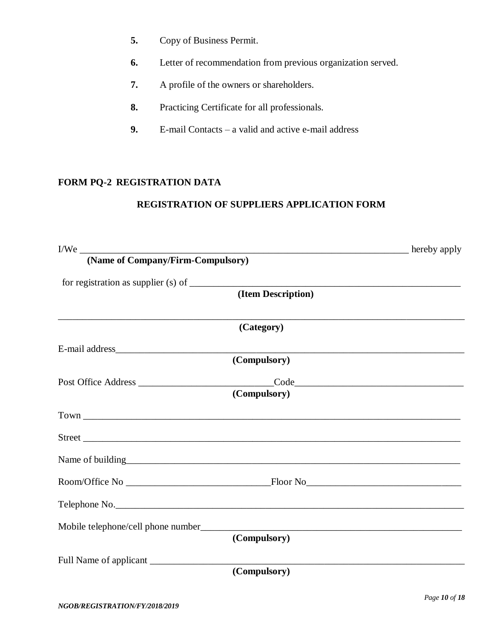- **5.** Copy of Business Permit.
- **6.** Letter of recommendation from previous organization served.
- **7.** A profile of the owners or shareholders.
- **8.** Practicing Certificate for all professionals.
- **9.** E-mail Contacts a valid and active e-mail address

## <span id="page-9-0"></span>**FORM PQ-2 REGISTRATION DATA**

## **REGISTRATION OF SUPPLIERS APPLICATION FORM**

|                                      | (Item Description) |  |
|--------------------------------------|--------------------|--|
|                                      | (Category)         |  |
|                                      |                    |  |
|                                      | (Compulsory)       |  |
|                                      |                    |  |
|                                      | (Compulsory)       |  |
|                                      |                    |  |
|                                      |                    |  |
| Name of building<br>Name of building |                    |  |
|                                      |                    |  |
| Telephone No.                        |                    |  |
|                                      |                    |  |
|                                      | (Compulsory)       |  |
| Full Name of applicant               |                    |  |
|                                      | (Compulsory)       |  |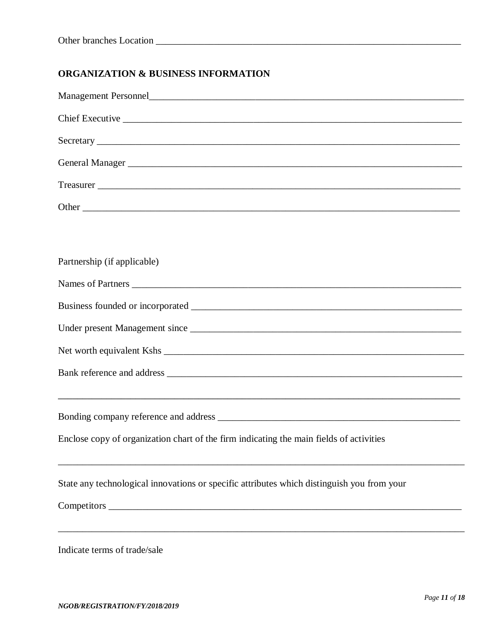| Other branches Location<br>. |
|------------------------------|
|------------------------------|

## **ORGANIZATION & BUSINESS INFORMATION**

| Chief Executive executive contract to the contract of the contract of the contract of the contract of the contract of the contract of the contract of the contract of the contract of the contract of the contract of the cont |
|--------------------------------------------------------------------------------------------------------------------------------------------------------------------------------------------------------------------------------|
|                                                                                                                                                                                                                                |
|                                                                                                                                                                                                                                |
|                                                                                                                                                                                                                                |
|                                                                                                                                                                                                                                |
|                                                                                                                                                                                                                                |
| Partnership (if applicable)                                                                                                                                                                                                    |
|                                                                                                                                                                                                                                |
|                                                                                                                                                                                                                                |
|                                                                                                                                                                                                                                |
|                                                                                                                                                                                                                                |
|                                                                                                                                                                                                                                |
|                                                                                                                                                                                                                                |
| Enclose copy of organization chart of the firm indicating the main fields of activities                                                                                                                                        |
| State any technological innovations or specific attributes which distinguish you from your                                                                                                                                     |
|                                                                                                                                                                                                                                |
|                                                                                                                                                                                                                                |

Indicate terms of trade/sale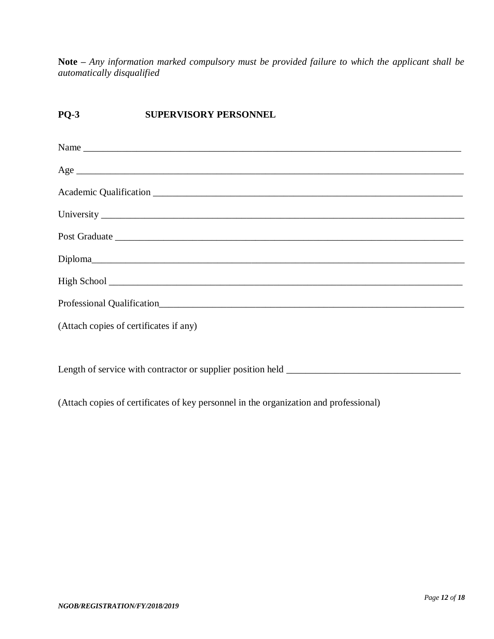**Note –** *Any information marked compulsory must be provided failure to which the applicant shall be automatically disqualified*

## <span id="page-11-0"></span>**PQ-3 SUPERVISORY PERSONNEL**

| Name                                                                                                                                                                                                   |
|--------------------------------------------------------------------------------------------------------------------------------------------------------------------------------------------------------|
|                                                                                                                                                                                                        |
|                                                                                                                                                                                                        |
|                                                                                                                                                                                                        |
|                                                                                                                                                                                                        |
|                                                                                                                                                                                                        |
|                                                                                                                                                                                                        |
| Professional Qualification <b>Exercísion Exercísion Exercísion Exercísion Exercísion Exercísion Exercísion Exercísion Exercísion Exercísion Exercísion Exercísion Exercísion Exercísion Exercísion</b> |
| (Attach copies of certificates if any)                                                                                                                                                                 |
|                                                                                                                                                                                                        |

Length of service with contractor or supplier position held \_\_\_\_\_\_\_\_\_\_\_\_\_\_\_\_\_\_\_\_\_\_\_\_\_\_\_\_\_\_\_\_\_\_\_\_

(Attach copies of certificates of key personnel in the organization and professional)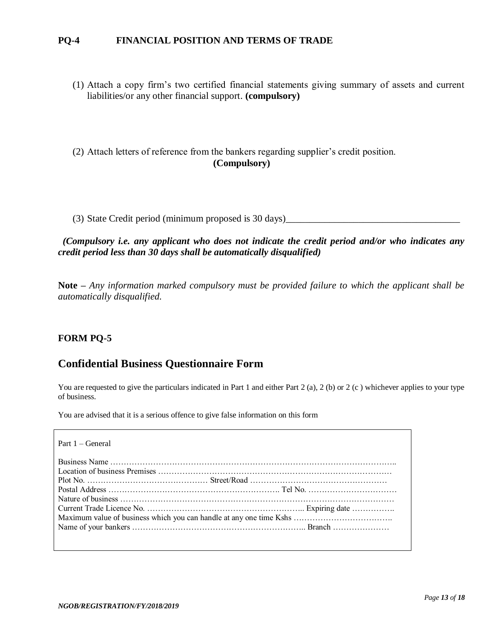#### <span id="page-12-0"></span>**PQ-4 FINANCIAL POSITION AND TERMS OF TRADE**

(1) Attach a copy firm's two certified financial statements giving summary of assets and current liabilities/or any other financial support. **(compulsory)** 

(2) Attach letters of reference from the bankers regarding supplier's credit position. **(Compulsory)** 

(3) State Credit period (minimum proposed is 30 days)

 *(Compulsory i.e. any applicant who does not indicate the credit period and/or who indicates any credit period less than 30 days shall be automatically disqualified)*

**Note –** *Any information marked compulsory must be provided failure to which the applicant shall be automatically disqualified.*

#### <span id="page-12-1"></span>**FORM PQ-5**

## **Confidential Business Questionnaire Form**

You are requested to give the particulars indicated in Part 1 and either Part 2 (a), 2 (b) or 2 (c) whichever applies to your type of business.

You are advised that it is a serious offence to give false information on this form

| Part $1 -$ General |  |
|--------------------|--|
|                    |  |
|                    |  |
|                    |  |
|                    |  |
|                    |  |
|                    |  |
|                    |  |
|                    |  |
|                    |  |
|                    |  |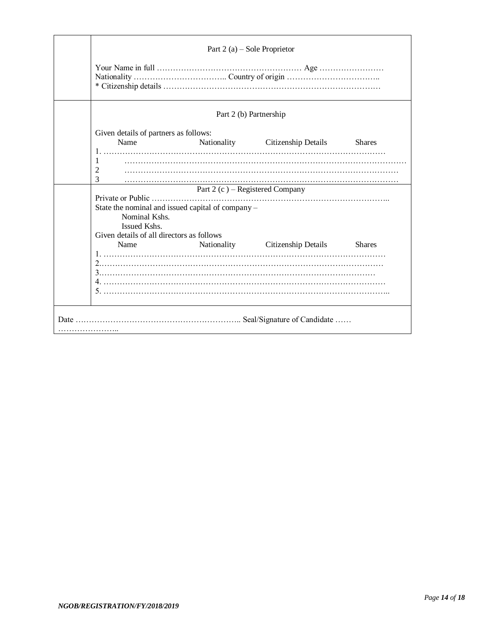| Part 2 (a) – Sole Proprietor                                                                                                    |  |                                        |               |
|---------------------------------------------------------------------------------------------------------------------------------|--|----------------------------------------|---------------|
|                                                                                                                                 |  |                                        |               |
|                                                                                                                                 |  | Part 2 (b) Partnership                 |               |
| Given details of partners as follows:<br>Name                                                                                   |  | Nationality Citizenship Details Shares |               |
| 1<br>2                                                                                                                          |  |                                        |               |
| 3                                                                                                                               |  |                                        |               |
|                                                                                                                                 |  | Part 2 (c) – Registered Company        |               |
| State the nominal and issued capital of company -<br>Nominal Kshs.<br>Issued Kshs.<br>Given details of all directors as follows |  |                                        |               |
| Name                                                                                                                            |  | Nationality Citizenship Details        | <b>Shares</b> |
|                                                                                                                                 |  |                                        |               |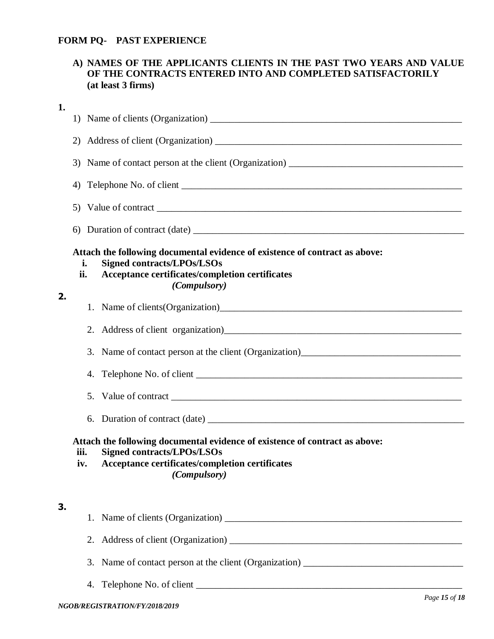## <span id="page-14-0"></span>**FORM PQ- PAST EXPERIENCE**

## **A) NAMES OF THE APPLICANTS CLIENTS IN THE PAST TWO YEARS AND VALUE OF THE CONTRACTS ENTERED INTO AND COMPLETED SATISFACTORILY (at least 3 firms)**

| 1. |           |                                                                                                                                                                                                |               |  |  |
|----|-----------|------------------------------------------------------------------------------------------------------------------------------------------------------------------------------------------------|---------------|--|--|
|    |           |                                                                                                                                                                                                |               |  |  |
|    |           |                                                                                                                                                                                                |               |  |  |
|    | 4)        |                                                                                                                                                                                                |               |  |  |
|    | 5)        |                                                                                                                                                                                                |               |  |  |
|    | 6)        |                                                                                                                                                                                                |               |  |  |
|    | i.<br>ii. | Attach the following documental evidence of existence of contract as above:<br><b>Signed contracts/LPOs/LSOs</b><br>Acceptance certificates/completion certificates<br><i>(Compulsory)</i>     |               |  |  |
| 2. |           |                                                                                                                                                                                                |               |  |  |
|    |           |                                                                                                                                                                                                |               |  |  |
|    | 3.        | Name of contact person at the client (Organization)_____________________________                                                                                                               |               |  |  |
|    |           |                                                                                                                                                                                                |               |  |  |
|    |           |                                                                                                                                                                                                |               |  |  |
|    | 6.        |                                                                                                                                                                                                |               |  |  |
|    | iii.      | Attach the following documental evidence of existence of contract as above:<br><b>Signed contracts/LPOs/LSOs</b><br>iv. Acceptance certificates/completion certificates<br><i>(Compulsory)</i> |               |  |  |
| 3. | 1.        |                                                                                                                                                                                                |               |  |  |
|    | 2.        |                                                                                                                                                                                                |               |  |  |
|    |           |                                                                                                                                                                                                |               |  |  |
|    |           |                                                                                                                                                                                                |               |  |  |
|    |           | NGOB/REGISTRATION/FY/2018/2019                                                                                                                                                                 | Page 15 of 18 |  |  |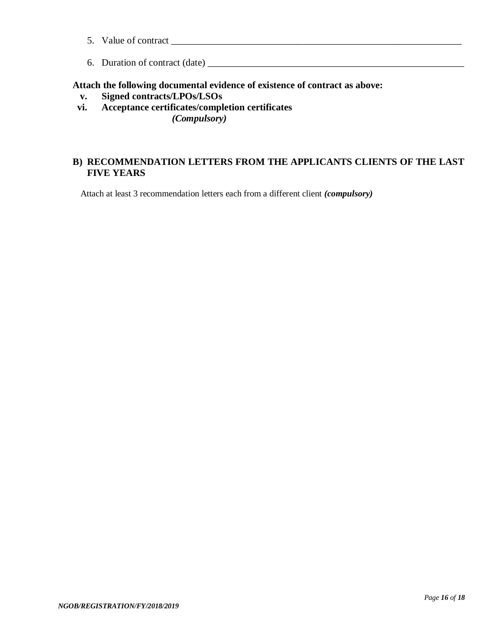- 5. Value of contract
- 6. Duration of contract (date) \_\_\_\_\_\_\_\_\_\_\_\_\_\_\_\_\_\_\_\_\_\_\_\_\_\_\_\_\_\_\_\_\_\_\_\_\_\_\_\_\_\_\_\_\_\_\_\_\_\_\_\_\_

## **Attach the following documental evidence of existence of contract as above:**

- **v. Signed contracts/LPOs/LSOs**
- **vi. Acceptance certificates/completion certificates**

*(Compulsory)*

#### **B) RECOMMENDATION LETTERS FROM THE APPLICANTS CLIENTS OF THE LAST FIVE YEARS**

Attach at least 3 recommendation letters each from a different client *(compulsory)*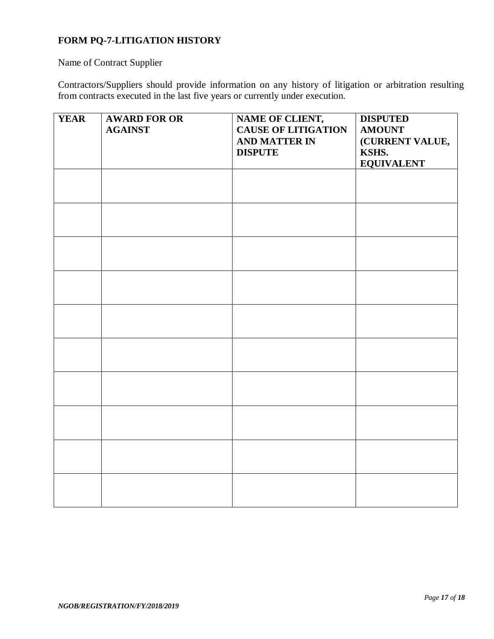## <span id="page-16-0"></span>**FORM PQ-7-LITIGATION HISTORY**

Name of Contract Supplier

Contractors/Suppliers should provide information on any history of litigation or arbitration resulting from contracts executed in the last five years or currently under execution.

| <b>YEAR</b> | <b>AWARD FOR OR</b><br><b>AGAINST</b> | NAME OF CLIENT,<br>CAUSE OF LITIGATION<br><b>AND MATTER IN</b><br><b>DISPUTE</b> | <b>DISPUTED</b><br><b>AMOUNT</b><br>(CURRENT VALUE,<br>KSHS.<br><b>EQUIVALENT</b> |
|-------------|---------------------------------------|----------------------------------------------------------------------------------|-----------------------------------------------------------------------------------|
|             |                                       |                                                                                  |                                                                                   |
|             |                                       |                                                                                  |                                                                                   |
|             |                                       |                                                                                  |                                                                                   |
|             |                                       |                                                                                  |                                                                                   |
|             |                                       |                                                                                  |                                                                                   |
|             |                                       |                                                                                  |                                                                                   |
|             |                                       |                                                                                  |                                                                                   |
|             |                                       |                                                                                  |                                                                                   |
|             |                                       |                                                                                  |                                                                                   |
|             |                                       |                                                                                  |                                                                                   |